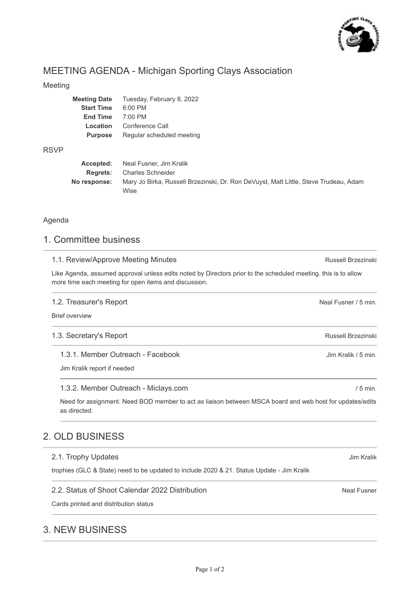

# MEETING AGENDA - Michigan Sporting Clays Association

### Meeting

| <b>Meeting Date</b> | Tuesday, February 8, 2022 |
|---------------------|---------------------------|
| <b>Start Time</b>   | $6:00$ PM                 |
| <b>End Time</b>     | $7:00 \text{ PM}$         |
| Location            | Conference Call           |
| <b>Purpose</b>      | Regular scheduled meeting |
|                     |                           |

#### RSVP

| Accepted:    | Neal Fusner, Jim Kralik                                                              |
|--------------|--------------------------------------------------------------------------------------|
|              | <b>Regrets:</b> Charles Schneider                                                    |
| No response: | Mary Jo Birka, Russell Brzezinski, Dr. Ron DeVuyst, Matt Little, Steve Trudeau, Adam |
|              | Wise                                                                                 |

### Agenda

# 1. Committee business

#### 1.1. Review/Approve Meeting Minutes

Like Agenda, assumed approval unless edits noted by Directors prior to the scheduled meeting. this is to allow more time each meeting for open items and discussion.

#### 1.2. Treasurer's Report

Brief overview

#### 1.3. Secretary's Report

1.3.1. Member Outreach - Facebook

Jim Kralik report if needed

#### 1.3.2. Member Outreach - Miclays.com

Need for assignment. Need BOD member to act as liaison between MSCA board and web host for updates/edits as directed.

# 2. OLD BUSINESS

#### 2.1. Trophy Updates

trophies (GLC & State) need to be updated to include 2020 & 21. Status Update - Jim Kralik

#### 2.2. Status of Shoot Calendar 2022 Distribution

Cards printed and distribution status

# 3. NEW BUSINESS

Jim Kralik

Neal Fusner

Russell Brzezinski

Neal Fusner / 5 min.

Russell Brzezinski

Jim Kralik / 5 min.

/ 5 min.